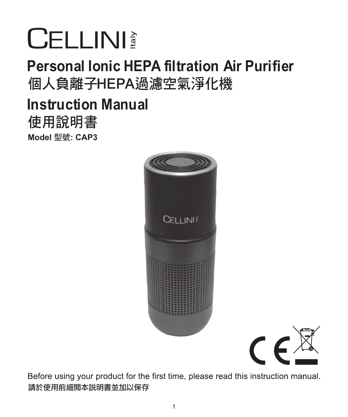# **CELLINI**

# Personal Ionic HEPA filtration Air Purifier 個人負離子HEPA過濾空氣淨化機

**Model** 型號**: CAP3** 使用說明書 Instruction Manual





Before using your product for the first time, please read this instruction manual. 請於使用前細閱本說明書並加以保存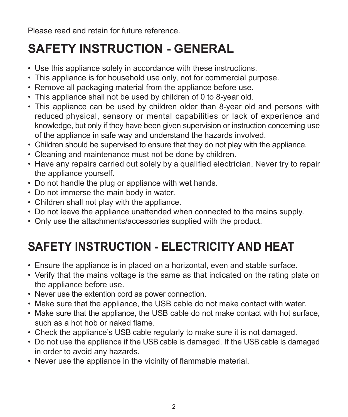Please read and retain for future reference.

## **SAFETY INSTRUCTION - GENERAL**

- Use this appliance solely in accordance with these instructions.
- This appliance is for household use only, not for commercial purpose.
- Remove all packaging material from the appliance before use.
- This appliance shall not be used by children of 0 to 8-year old.
- This appliance can be used by children older than 8-year old and persons with reduced physical, sensory or mental capabilities or lack of experience and knowledge, but only if they have been given supervision or instruction concerning use of the appliance in safe way and understand the hazards involved.
- Children should be supervised to ensure that they do not play with the appliance.
- Cleaning and maintenance must not be done by children.
- Have any repairs carried out solely by a qualified electrician. Never try to repair the appliance yourself.
- Do not handle the plug or appliance with wet hands.
- Do not immerse the main body in water.
- Children shall not play with the appliance.
- Do not leave the appliance unattended when connected to the mains supply.
- Only use the attachments/accessories supplied with the product.

## **SAFETY INSTRUCTION - ELECTRICITY AND HEAT**

- Ensure the appliance is in placed on a horizontal, even and stable surface.
- Verify that the mains voltage is the same as that indicated on the rating plate on the appliance before use.
- Never use the extention cord as power connection.
- Make sure that the appliance, the USB cable do not make contact with water.
- Make sure that the appliance, the USB cable do not make contact with hot surface, such as a hot hob or naked flame.
- Check the appliance's USB cable regularly to make sure it is not damaged.
- Do not use the appliance if the USB cable is damaged. If the USB cable is damaged in order to avoid any hazards.
- Never use the appliance in the vicinity of flammable material.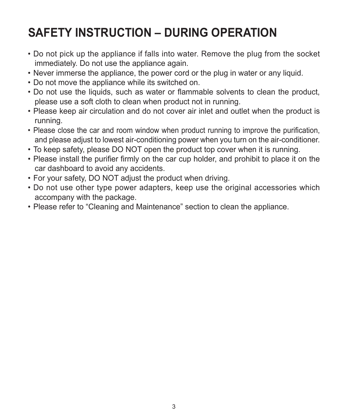## **SAFETY INSTRUCTION – DURING OPERATION**

- Do not pick up the appliance if falls into water. Remove the plug from the socket immediately. Do not use the appliance again.
- Never immerse the appliance, the power cord or the plug in water or any liquid.
- Do not move the appliance while its switched on.
- Do not use the liquids, such as water or flammable solvents to clean the product, please use a soft cloth to clean when product not in running.
- Please keep air circulation and do not cover air inlet and outlet when the product is running.
- Please close the car and room window when product running to improve the purification, and please adjust to lowest air-conditioning power when you turn on the air-conditioner.
- To keep safety, please DO NOT open the product top cover when it is running.
- Please install the purifier firmly on the car cup holder, and prohibit to place it on the car dashboard to avoid any accidents.
- For your safety, DO NOT adjust the product when driving.
- Do not use other type power adapters, keep use the original accessories which accompany with the package.
- Please refer to "Cleaning and Maintenance" section to clean the appliance.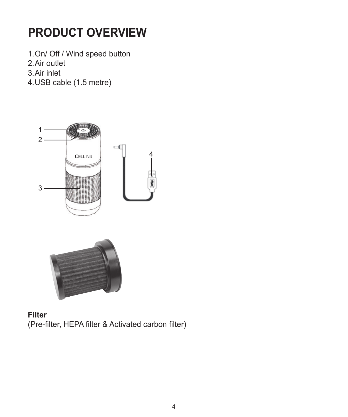# **PRODUCT OVERVIEW**

1.On/ Off / Wind speed button

- 2.Air outlet
- 3.Air inlet
- 4.USB cable (1.5 metre)





**Filter** (Pre-filter, HEPA filter & Activated carbon filter)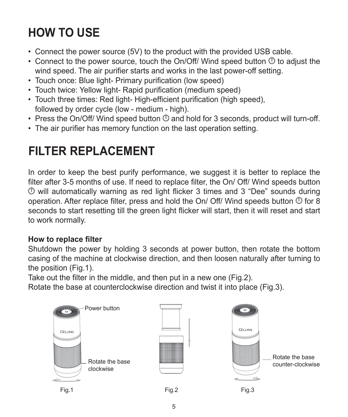# **HOW TO USE**

- Connect the power source (5V) to the product with the provided USB cable.
- Connect to the power source, touch the On/Off/ Wind speed button  $\Phi$  to adjust the wind speed. The air purifier starts and works in the last power-off setting.
- Touch once: Blue light- Primary purification (low speed)
- Touch twice: Yellow light- Rapid purification (medium speed)
- Touch three times: Red light- High-efficient purification (high speed) followed by order cycle (low - medium - high).
- $\cdot$  Press the On/Off/ Wind speed button  $\Phi$  and hold for 3 seconds, product will turn-off.
- The air purifier has memory function on the last operation setting.

## **FILTER REPLACEMENT**

In order to keep the best purify performance, we suggest it is better to replace the filter after 3-5 months of use. If need to replace filter, the On/ Off/ Wind speeds button  $\Phi$  will automatically warning as red light flicker 3 times and 3 "Dee" sounds during operation. After replace filter, press and hold the On/ Off/ Wind speeds button  $\Phi$  for 8 seconds to start resetting till the green light flicker will start, then it will reset and start to work normally.

#### **How to replace filter**

Shutdown the power by holding 3 seconds at power button, then rotate the bottom casing of the machine at clockwise direction, and then loosen naturally after turning to the position (Fig.1).

Take out the filter in the middle, and then put in a new one (Fig.2).

Rotate the base at counterclockwise direction and twist it into place (Fig.3).

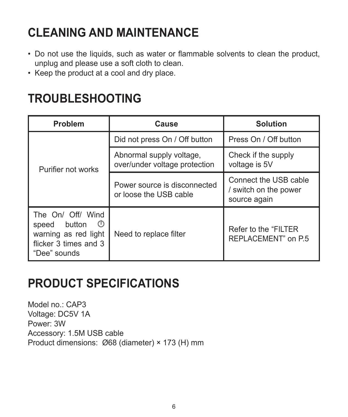## **CLEANING AND MAINTENANCE**

- Do not use the liquids, such as water or flammable solvents to clean the product, unplug and please use a soft cloth to clean.
- Keep the product at a cool and dry place.

## **TROUBLESHOOTING**

| Problem                                                                                                    | Cause                                                     | Solution                                                       |
|------------------------------------------------------------------------------------------------------------|-----------------------------------------------------------|----------------------------------------------------------------|
| Purifier not works                                                                                         | Did not press On / Off button                             | Press On / Off button                                          |
|                                                                                                            | Abnormal supply voltage,<br>over/under voltage protection | Check if the supply<br>voltage is 5V                           |
|                                                                                                            | Power source is disconnected<br>or loose the USB cable    | Connect the USB cable<br>/ switch on the power<br>source again |
| The On/ Off/ Wind<br>O<br>button<br>speed<br>warning as red light<br>flicker 3 times and 3<br>"Dee" sounds | Need to replace filter                                    | Refer to the "FILTER"<br>REPLACEMENT" on P.5                   |

## **PRODUCT SPECIFICATIONS**

Model no.: CAP3 Voltage: DC5V 1A Power: 3W Accessory: 1.5M USB cable Product dimensions: Ø68 (diameter) × 173 (H) mm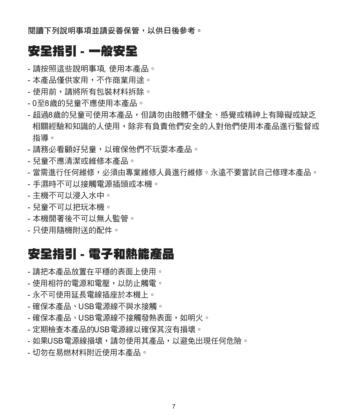閱讀下列說明事項並請妥善保管,以供日後參考。

#### 安全指引 - 一般安全

- 請按照這些說明事項, 使用本產品。
- 本產品僅供家用,不作商業用途。
- 使用前,請將所有包裝材料拆除。
- 0至8歲的兒童不應使用本產品。
- 超過8歲的兒童可使用本產品,但請勿由肢體不健全、感覺或精神上有障礙或缺乏 相關經驗和知識的人使用,除非有負責他們安全的人對他們使用本產品進行監督或 指導。
- 請務必看顧好兒童,以確保他們不玩耍本產品。
- 兒童不應清潔或維修本產品。
- 當需谁行任何維修,必須由專業維修人員谁行維修。永遠不要嘗試自己修理本產品。
- 手濕時不可以接觸電源插頭或本機。
- 主機不可以浸入水中。
- 兒童不可以把玩本機。
- 本機開著後不可以無人監管。
- 只使用隨機附送的配件。

#### 安全指引 - 電子和熱能產品

- 請把本產品放置在平穩的表面上使用。
- 使用相符的電源和電壓,以防止觸電。
- 永不可使用延長電線插座於本機上。
- 確保本產品、USB電源線不與水接觸。
- 確保本產品、USB電源線不接觸發熱表面,如明火。
- 定期檢查本產品的USB電源線以確保其沒有損壞。
- 如果USB電源線損壞,請勿使用其產品,以避免出現任何危險。
- 切勿在易燃材料附近使用本產品。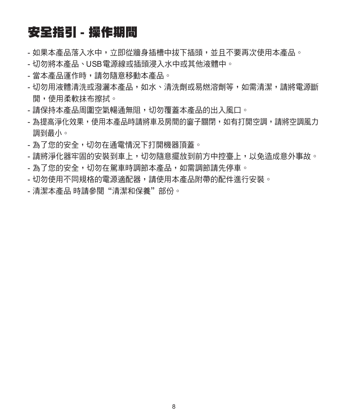### 安全指引 - 操作期間

- 如果本產品落入水中,立即從牆身插槽中拔下插頭,並且不要再次使用本產品。
- 切勿將本產品、USB電源線或插頭浸入水中或其他液體中。
- 當本產品運作時,請勿隨意移動本產品。
- 切勿用液體清洗或潑灑本產品,如水、清洗劑或易燃溶劑等,如需清潔,請將電源斷 開,使用柔軟抹布擦拭。
- 請保持本產品周圍空氣暢通無阻,切勿覆蓋本產品的出入風口。
- 為提高淨化效果,使用本產品時請將車及房間的窗子關閉,如有打開空調,請將空調風力 調到最小。
- 為了您的安全,切勿在通電情況下打開機器頂蓋。
- 請將淨化器牢固的安裝到車上,切勿隨意擺放到前方中控臺上,以免造成意外事故。
- 為了您的安全,切勿在駕車時調節本產品,如需調節請先停車。
- 切勿使用不同規格的電源適配器,請使用本產品附帶的配件進行安裝。
- 清潔本產品 時請參閱"清潔和保養"部份。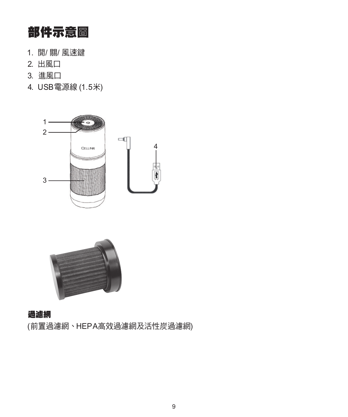## 部件示意圖

- 1. 開/ 關/ 風速鍵
- 2. 出風口
- 3. 進風口
- 4. USB電源線 (1.5米)





#### 過濾網

(前置過濾網、HEPA高效過濾網及活性炭過濾網)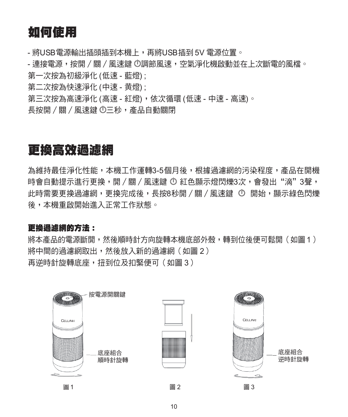## 如何使用

- 將USB電源輸出插頭插到本機上,再將USB插到 5V 電源位置。

- 連接電源,按開 / 關 / 風速鍵 <sup>(</sup>)調節風速,空氣淨化機啟動並在上次斷電的風檔。 第一次按為初級淨化 (低速 - 藍燈) ;

第二次按為快速淨化 (中速 - 黄燈) ;

第三次按為高速淨化 (高速 - 紅燈),依次循環 (低速 - 中速 - 高速)。

長按盟 / 關 / 風速鍵 ①三秒, 產品自動關閉

#### 更換高效過濾網

為維持最佳淨化性能,本機工作運轉3-5個月後,根據過濾網的污染程度,產品在開機 時會自動提示進行更換,開 / 關 / 國速鍵 ① 紅色顯示燈閃爍3次,會發出"滴"3聲, 此時需要更換渦濾網,更換完成後,長按8秒開/關/風速鍵 ← 開始,顯示綠色閃爍 後,本機重啟開始進入正常工作狀態。

#### 更換過濾網的方法:

將本產品的雷源斷開,然後順時針方向旋轉本機底部外殼,轉到位後便可鬆開(如圖 1) 將中間的渦濾網取出,然後放入新的渦濾網(如圖 2) 再逆時針旋轉底座,扭到位及扣緊便可(如圖 3)

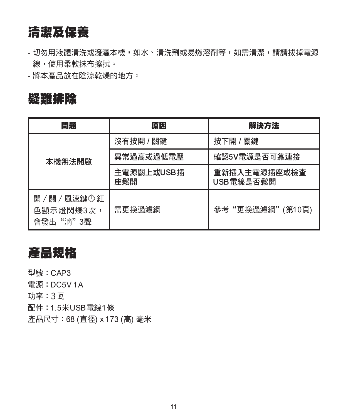### 清潔及保養

- 切勿用液體清洗或潑灑太機,如水、清洗劑或易燃溶劑等,如需清潔,請請拔掉雷源 線,使用柔軟抹布擦拭。

- 將本產品放在陰涼乾燥的地方。

#### 疑難排除

| 問題                                 | 原因                | 解決方法                      |
|------------------------------------|-------------------|---------------------------|
| 本機無法開啟                             | 沒有按開 / 關鍵         | 按下開 / 關鍵                  |
|                                    | 異常過高或過低電壓         | 確認5V雷源是否可靠連接              |
|                                    | 主雷源關上或USB插<br>座鬆開 | 重新插入主雷源插座或檢杳<br>USB雷線是否鬆開 |
| 開/關/風速鍵の紅<br>色顯示燈閃爍3次,<br>會發出"滴"3聲 | 需更換過濾網            | 參考"更換過濾網"(第10頁)           |

## 產品規格

型號:CAP3

電源:DC5V 1A

功率:3瓦

配件:1.5米USB電線1條

產品尺寸:68 (直徑) x 173 (高) 毫米